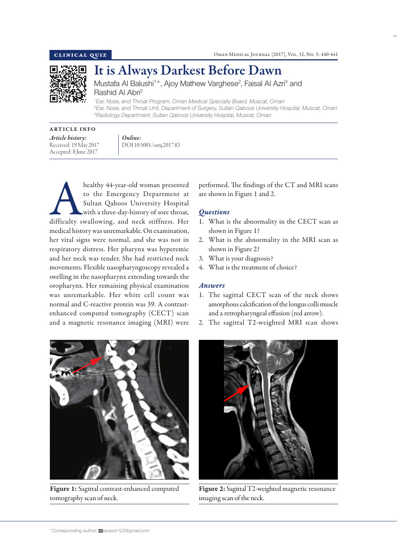

It is Always Darkest Before Dawn

Mustafa Al Balushi<sup>1\*</sup>, Ajoy Mathew Varghese<sup>2</sup>, Faisal Al Azri<sup>3</sup> and Rashid Al Abri2

*1 Ear, Nose, and Throat Program, Oman Medical Specialty Board, Muscat, Oman 2 Ear, Nose, and Throat Unit, Department of Surgery, Sultan Qaboos University Hospital, Muscat, Oman 3 Radiology Department, Sultan Qaboos University Hospital, Muscat, Oman*

## ARTICLE INFO *Article history:*  Received: 19 May 2017 Accepted: 8 June 2017



healthy 44-year-old woman presented<br>to the Emergency Department at<br>Sultan Qaboos University Hospital<br>with a three-day-history of sore throat,<br>difficulty swallowing, and neck stiffness. Her to the Emergency Department at Sultan Qaboos University Hospital with a three-day-history of sore throat, medical history was unremarkable. On examination, her vital signs were normal, and she was not in respiratory distress. Her pharynx was hyperemic and her neck was tender. She had restricted neck movements. Flexible nasopharyngoscopy revealed a swelling in the nasopharynx extending towards the oropharynx. Her remaining physical examination was unremarkable. Her white cell count was normal and C-reactive protein was 39. A contrastenhanced computed tomography (CECT) scan and a magnetic resonance imaging (MRI) were

performed. The findings of the CT and MRI scans are shown in Figure 1 and 2.

# *Questions*

- 1. What is the abnormality in the CECT scan as shown in Figure 1?
- 2. What is the abnormality in the MRI scan as shown in Figure 2?
- 3. What is your diagnosis?
- 4. What is the treatment of choice?

## *Answers*

- 1. The sagittal CECT scan of the neck shows amorphous calcification of the longus colli muscle and a retropharyngeal effusion (red arrow).
- 2. The sagittal T2-weighted MRI scan shows



Figure 1: Sagittal contrast-enhanced computed tomography scan of neck.



Figure 2: Sagittal T2-weighted magnetic resonance imaging scan of the neck.